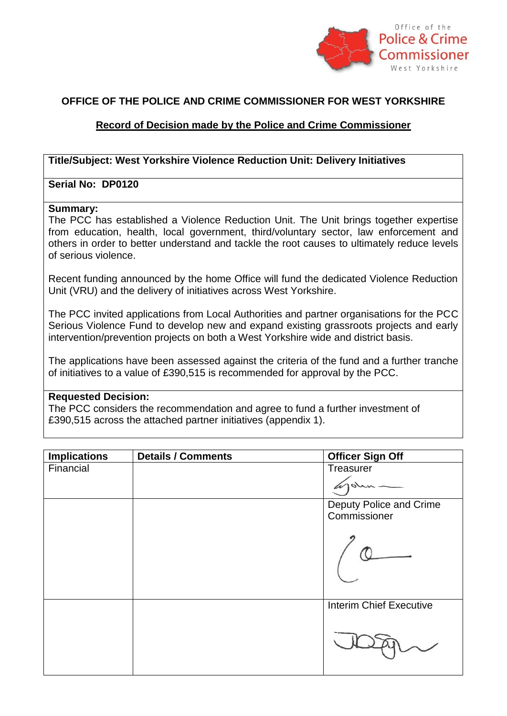

# **OFFICE OF THE POLICE AND CRIME COMMISSIONER FOR WEST YORKSHIRE**

## **Record of Decision made by the Police and Crime Commissioner**

## **Title/Subject: West Yorkshire Violence Reduction Unit: Delivery Initiatives**

### **Serial No: DP0120**

#### **Summary:**

The PCC has established a Violence Reduction Unit. The Unit brings together expertise from education, health, local government, third/voluntary sector, law enforcement and others in order to better understand and tackle the root causes to ultimately reduce levels of serious violence.

Recent funding announced by the home Office will fund the dedicated Violence Reduction Unit (VRU) and the delivery of initiatives across West Yorkshire.

The PCC invited applications from Local Authorities and partner organisations for the PCC Serious Violence Fund to develop new and expand existing grassroots projects and early intervention/prevention projects on both a West Yorkshire wide and district basis.

The applications have been assessed against the criteria of the fund and a further tranche of initiatives to a value of £390,515 is recommended for approval by the PCC.

#### **Requested Decision:**

The PCC considers the recommendation and agree to fund a further investment of £390,515 across the attached partner initiatives (appendix 1).

| <b>Implications</b> | <b>Details / Comments</b> | <b>Officer Sign Off</b>        |
|---------------------|---------------------------|--------------------------------|
| Financial           |                           | Treasurer                      |
|                     |                           |                                |
|                     |                           | Deputy Police and Crime        |
|                     |                           | Commissioner                   |
|                     |                           |                                |
|                     |                           | <b>Interim Chief Executive</b> |
|                     |                           |                                |